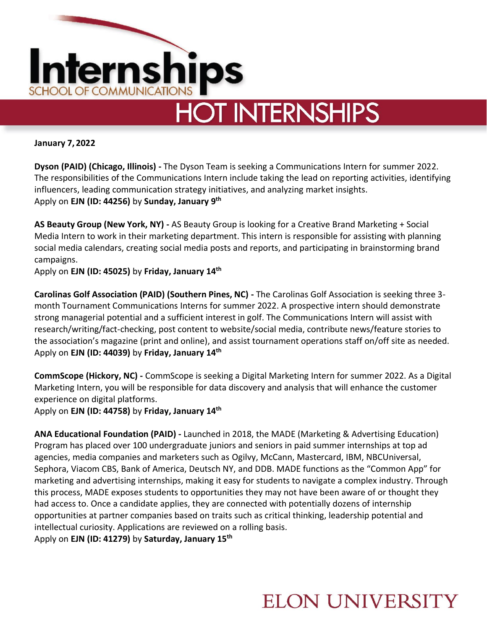

**January 7, 2022** 

**Dyson (PAID) (Chicago, Illinois) -** The Dyson Team is seeking a Communications Intern for summer 2022. The responsibilities of the Communications Intern include taking the lead on reporting activities, identifying influencers, leading communication strategy initiatives, and analyzing market insights. Apply on **EJN (ID: 44256)** by **Sunday, January 9 th**

**AS Beauty Group (New York, NY) -** AS Beauty Group is looking for a Creative Brand Marketing + Social Media Intern to work in their marketing department. This intern is responsible for assisting with planning social media calendars, creating social media posts and reports, and participating in brainstorming brand campaigns.

Apply on **EJN (ID: 45025)** by **Friday, January 14th**

**Carolinas Golf Association (PAID) (Southern Pines, NC) -** The Carolinas Golf Association is seeking three 3 month Tournament Communications Interns for summer 2022. A prospective intern should demonstrate strong managerial potential and a sufficient interest in golf. The Communications Intern will assist with research/writing/fact-checking, post content to website/social media, contribute news/feature stories to the association's magazine (print and online), and assist tournament operations staff on/off site as needed. Apply on **EJN (ID: 44039)** by **Friday, January 14th**

**CommScope (Hickory, NC) -** CommScope is seeking a Digital Marketing Intern for summer 2022. As a Digital Marketing Intern, you will be responsible for data discovery and analysis that will enhance the customer experience on digital platforms.

Apply on **EJN (ID: 44758)** by **Friday, January 14th**

**ANA Educational Foundation (PAID) -** Launched in 2018, the MADE (Marketing & Advertising Education) Program has placed over 100 undergraduate juniors and seniors in paid summer internships at top ad agencies, media companies and marketers such as Ogilvy, McCann, Mastercard, IBM, NBCUniversal, Sephora, Viacom CBS, Bank of America, Deutsch NY, and DDB. MADE functions as the "Common App" for marketing and advertising internships, making it easy for students to navigate a complex industry. Through this process, MADE exposes students to opportunities they may not have been aware of or thought they had access to. Once a candidate applies, they are connected with potentially dozens of internship opportunities at partner companies based on traits such as critical thinking, leadership potential and intellectual curiosity. Applications are reviewed on a rolling basis.

Apply on **EJN (ID: 41279)** by **Saturday, January 15th** 

### **ELON UNIVERSITY**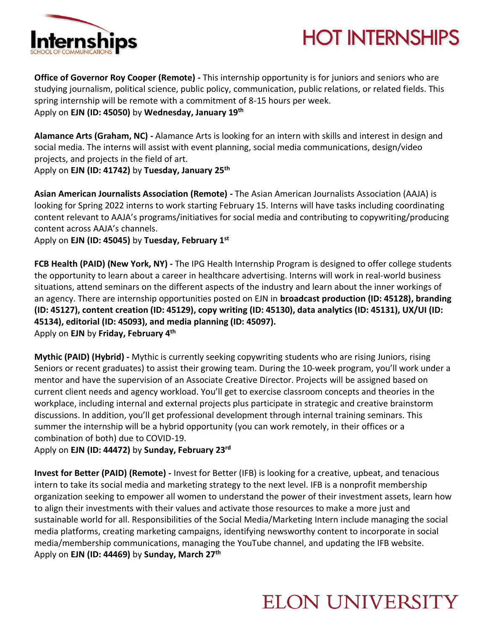

# **HOT INTERNSHIPS**

**Office of Governor Roy Cooper (Remote) -** This internship opportunity is for juniors and seniors who are studying journalism, political science, public policy, communication, public relations, or related fields. This spring internship will be remote with a commitment of 8-15 hours per week. Apply on **EJN (ID: 45050)** by **Wednesday, January 19th**

**Alamance Arts (Graham, NC) -** Alamance Arts is looking for an intern with skills and interest in design and social media. The interns will assist with event planning, social media communications, design/video projects, and projects in the field of art.

Apply on **EJN (ID: 41742)** by **Tuesday, January 25th**

**Asian American Journalists Association (Remote) -** The Asian American Journalists Association (AAJA) is looking for Spring 2022 interns to work starting February 15. Interns will have tasks including coordinating content relevant to AAJA's programs/initiatives for social media and contributing to copywriting/producing content across AAJA's channels.

Apply on **EJN (ID: 45045)** by **Tuesday, February 1st**

**FCB Health (PAID) (New York, NY) -** The IPG Health Internship Program is designed to offer college students the opportunity to learn about a career in healthcare advertising. Interns will work in real-world business situations, attend seminars on the different aspects of the industry and learn about the inner workings of an agency. There are internship opportunities posted on EJN in **broadcast production (ID: 45128), branding (ID: 45127), content creation (ID: 45129), copy writing (ID: 45130), data analytics (ID: 45131), UX/UI (ID: 45134), editorial (ID: 45093), and media planning (ID: 45097).**  Apply on **EJN** by **Friday, February 4th**

**Mythic (PAID) (Hybrid) -** Mythic is currently seeking copywriting students who are rising Juniors, rising Seniors or recent graduates) to assist their growing team. During the 10-week program, you'll work under a mentor and have the supervision of an Associate Creative Director. Projects will be assigned based on current client needs and agency workload. You'll get to exercise classroom concepts and theories in the workplace, including internal and external projects plus participate in strategic and creative brainstorm discussions. In addition, you'll get professional development through internal training seminars. This summer the internship will be a hybrid opportunity (you can work remotely, in their offices or a combination of both) due to COVID-19.

Apply on **EJN (ID: 44472)** by **Sunday, February 23rd**

**Invest for Better (PAID) (Remote) -** Invest for Better (IFB) is looking for a creative, upbeat, and tenacious intern to take its social media and marketing strategy to the next level. IFB is a nonprofit membership organization seeking to empower all women to understand the power of their investment assets, learn how to align their investments with their values and activate those resources to make a more just and sustainable world for all. Responsibilities of the Social Media/Marketing Intern include managing the social media platforms, creating marketing campaigns, identifying newsworthy content to incorporate in social media/membership communications, managing the YouTube channel, and updating the IFB website. Apply on **EJN (ID: 44469)** by **Sunday, March 27th**

### **ELON UNIVERSITY**